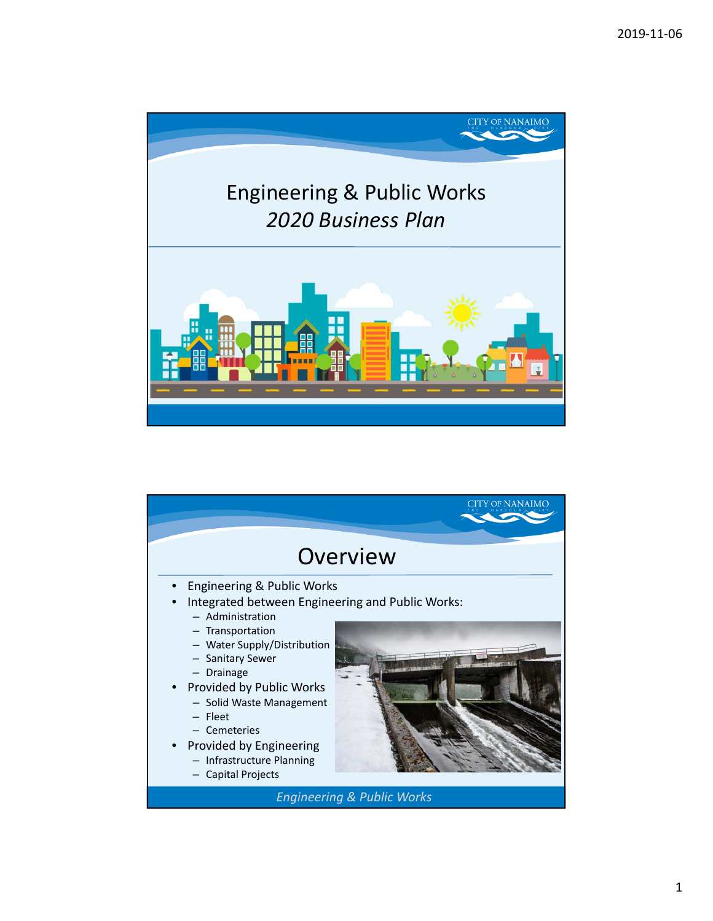

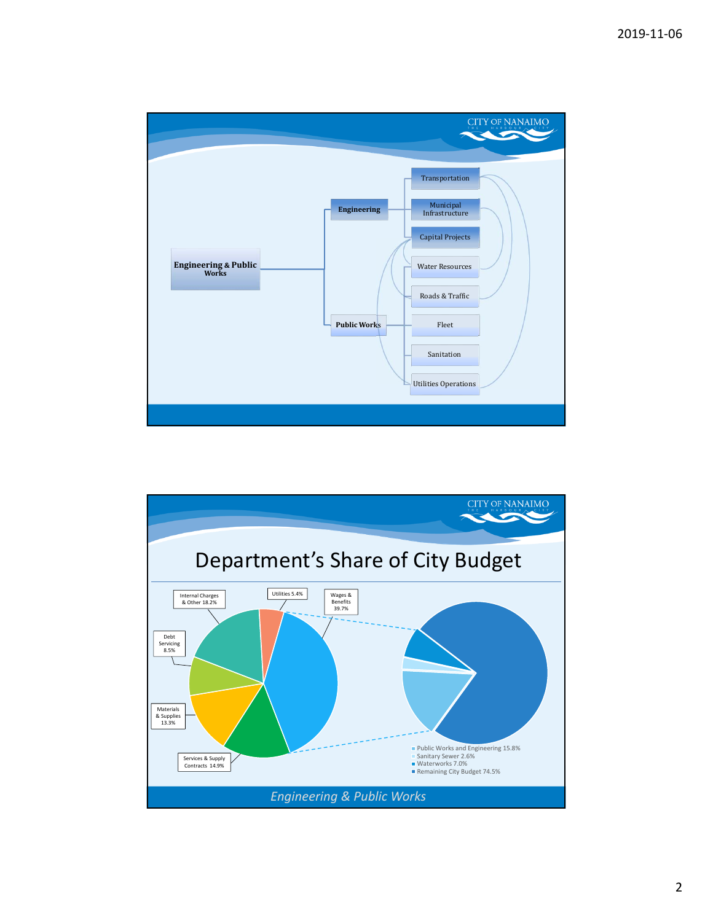

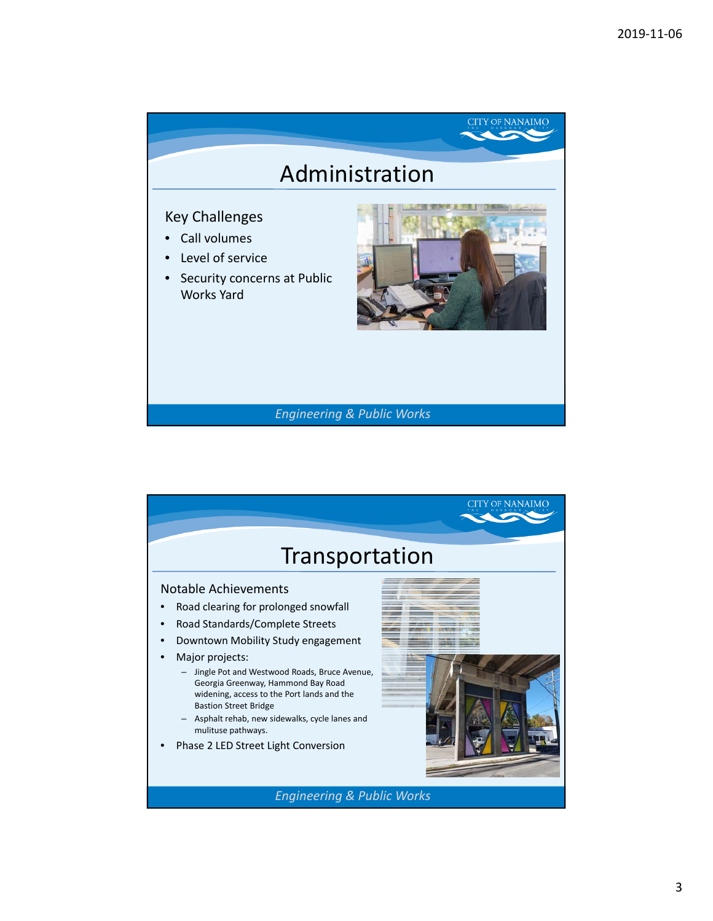

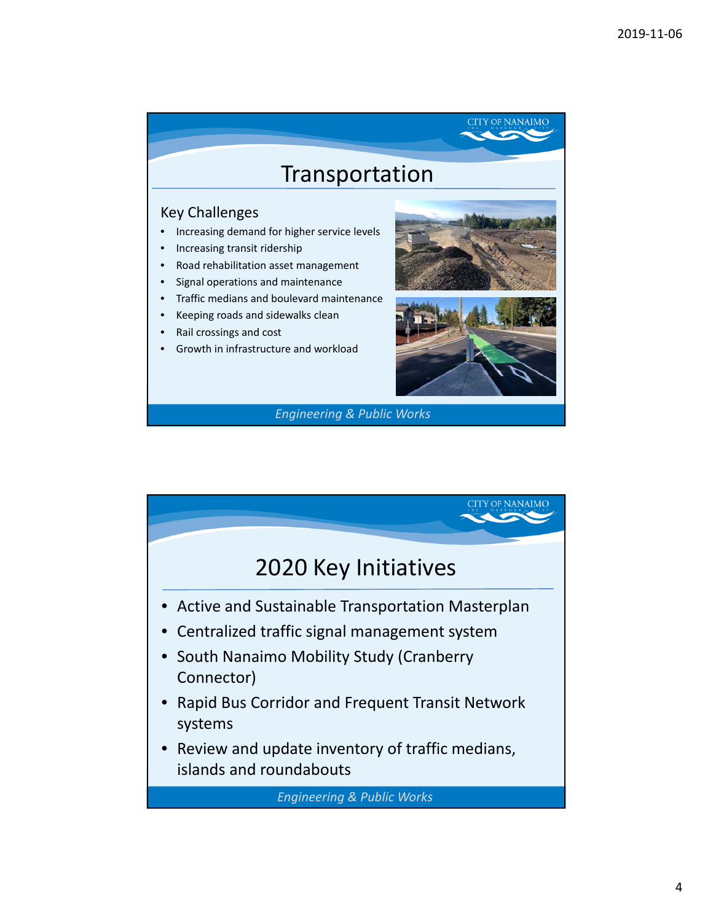

- Increasing transit ridership
- 
- Road rehabilitation asset management
- Signal operations and maintenance
- Traffic medians and boulevard maintenance
- Keeping roads and sidewalks clean
- Rail crossings and cost
- Growth in infrastructure and workload



**CITY OF NANAIMO** 

*Engineering & Public Works*

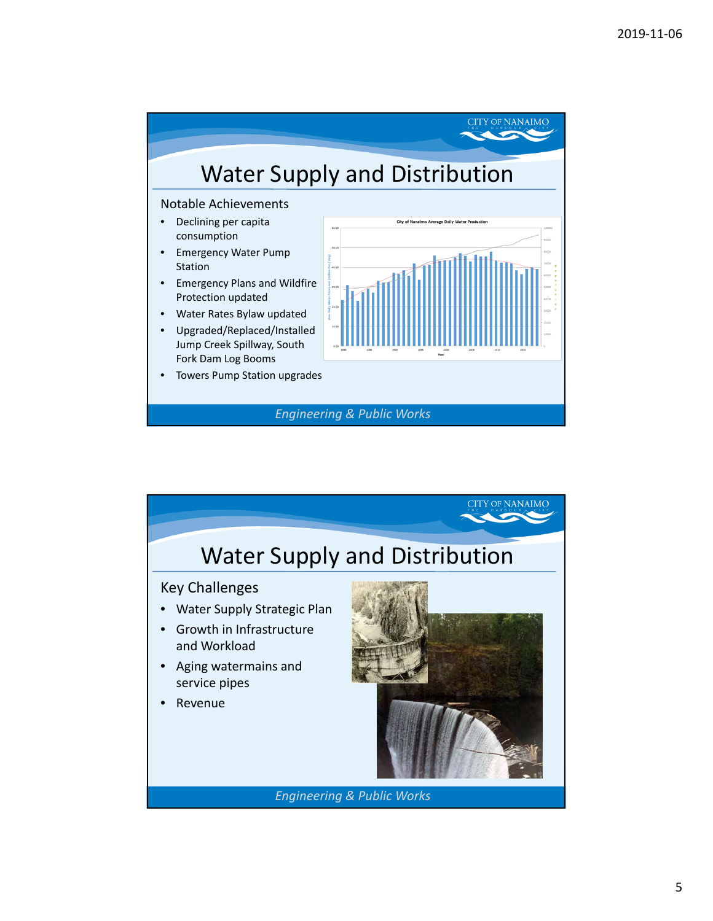

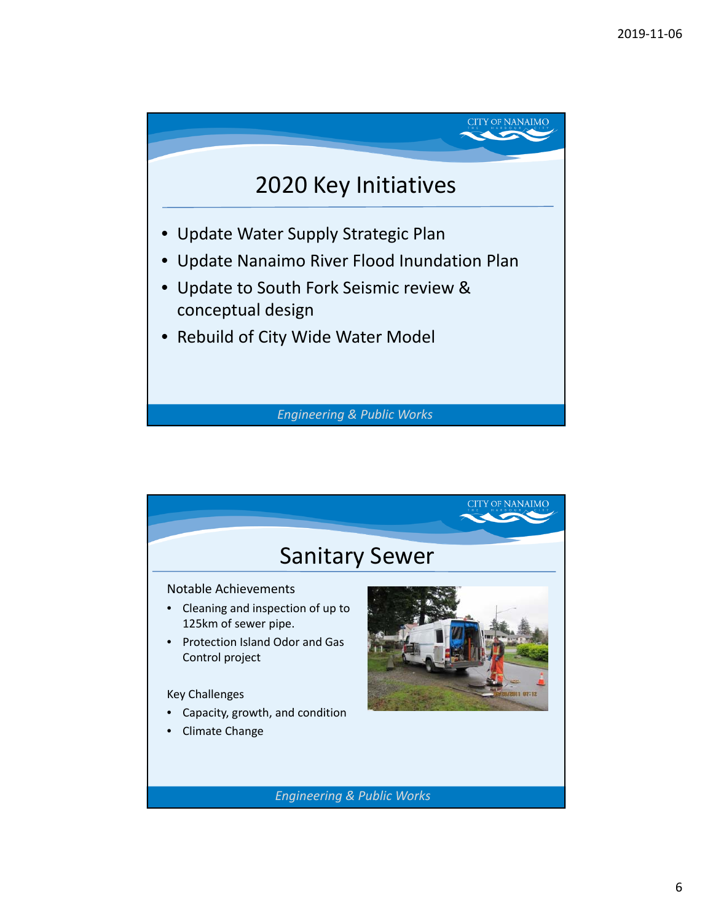

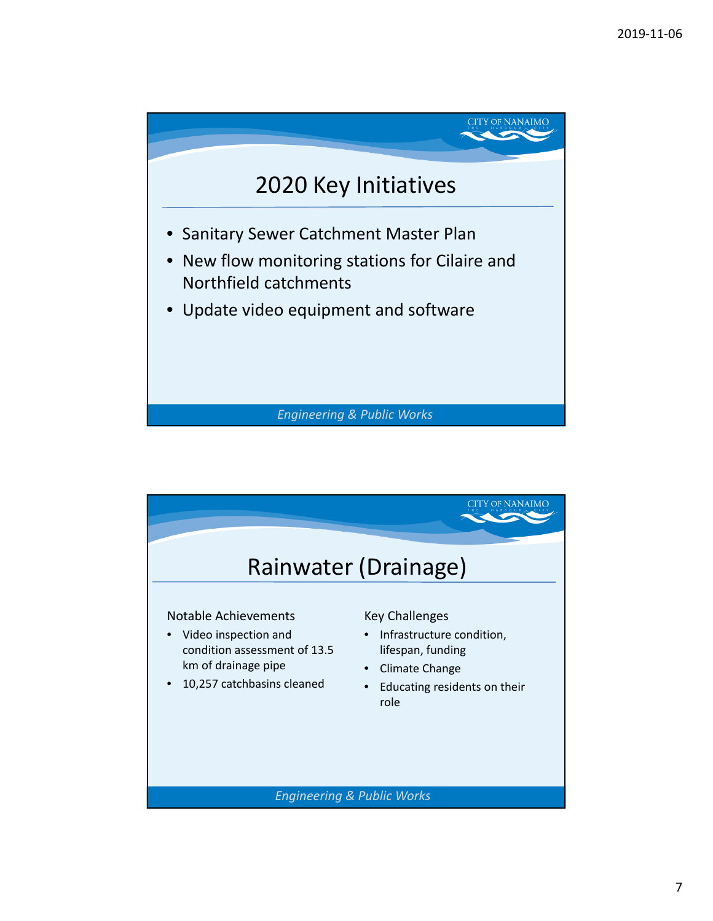

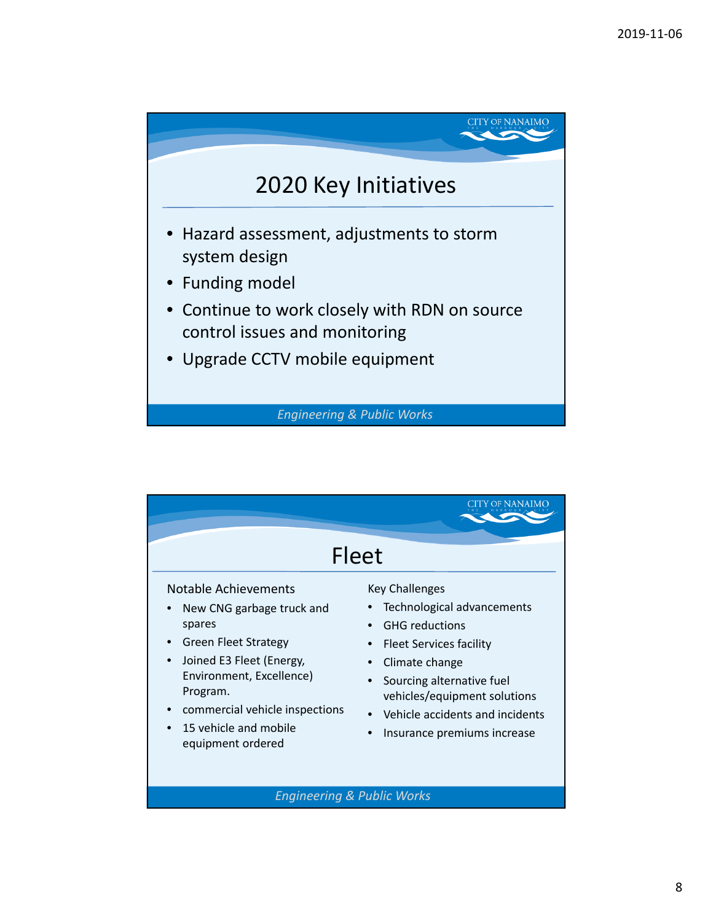



8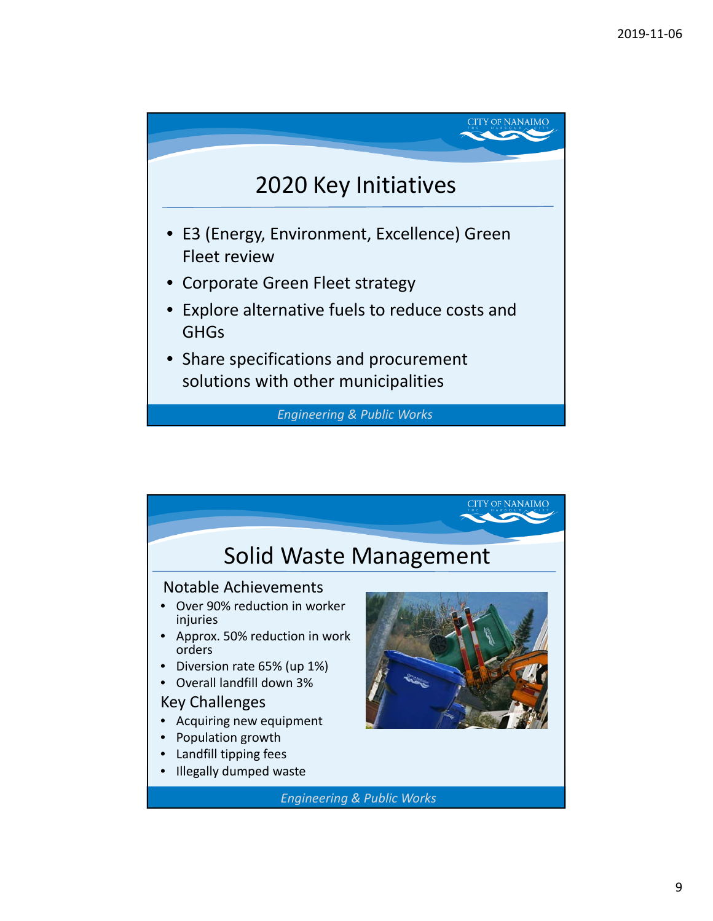

*Engineering & Public Works*

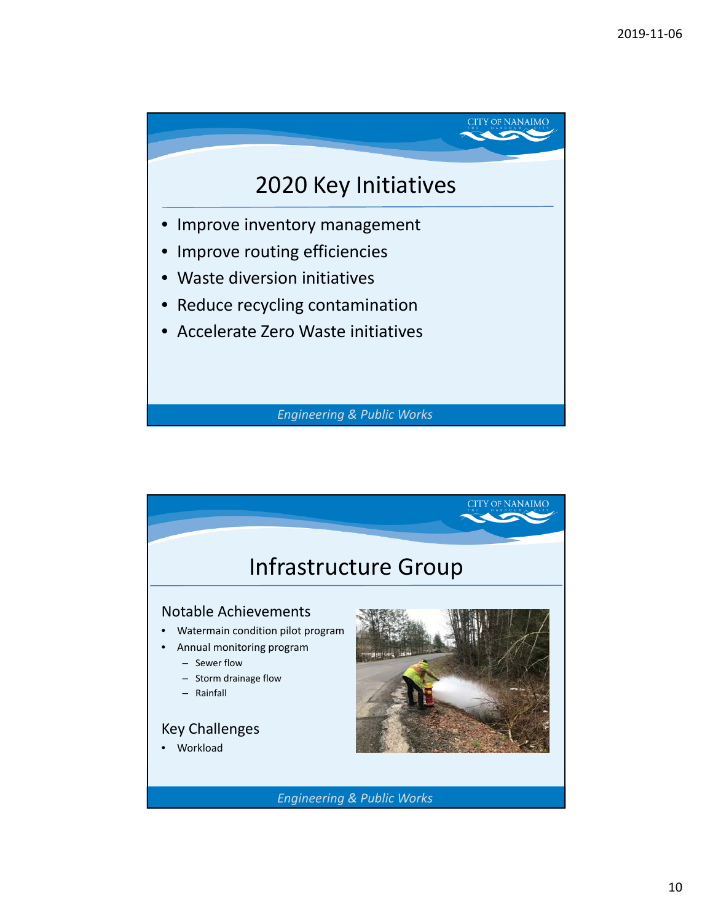

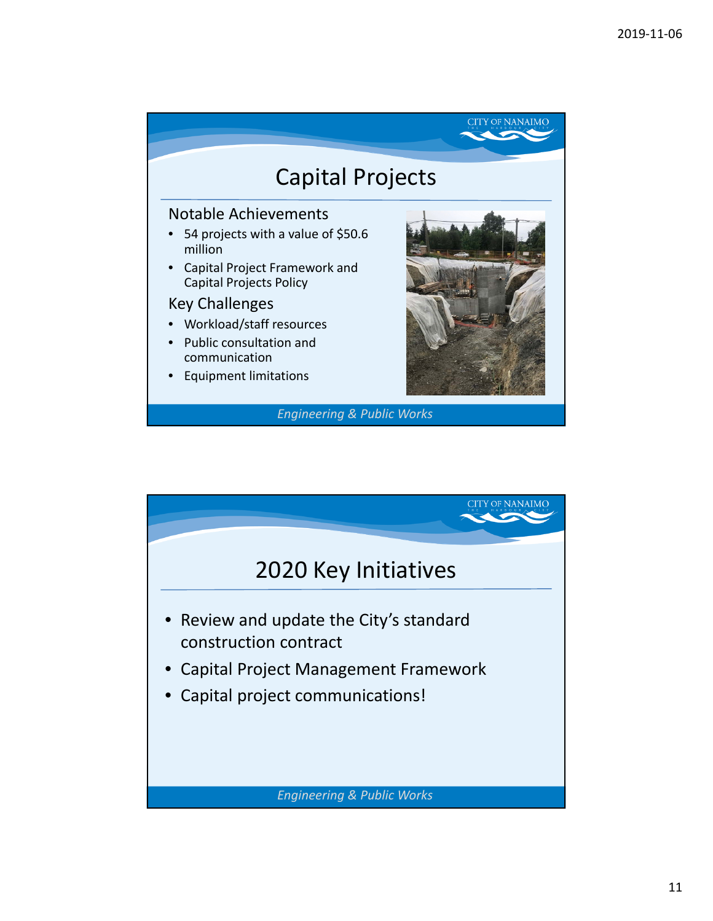

## Notable Achievements

- 54 projects with a value of \$50.6 million
- Capital Project Framework and Capital Projects Policy

## Key Challenges

- Workload/staff resources
- Public consultation and communication
- Equipment limitations



**CITY OF NANAIMO** 

*Engineering & Public Works*

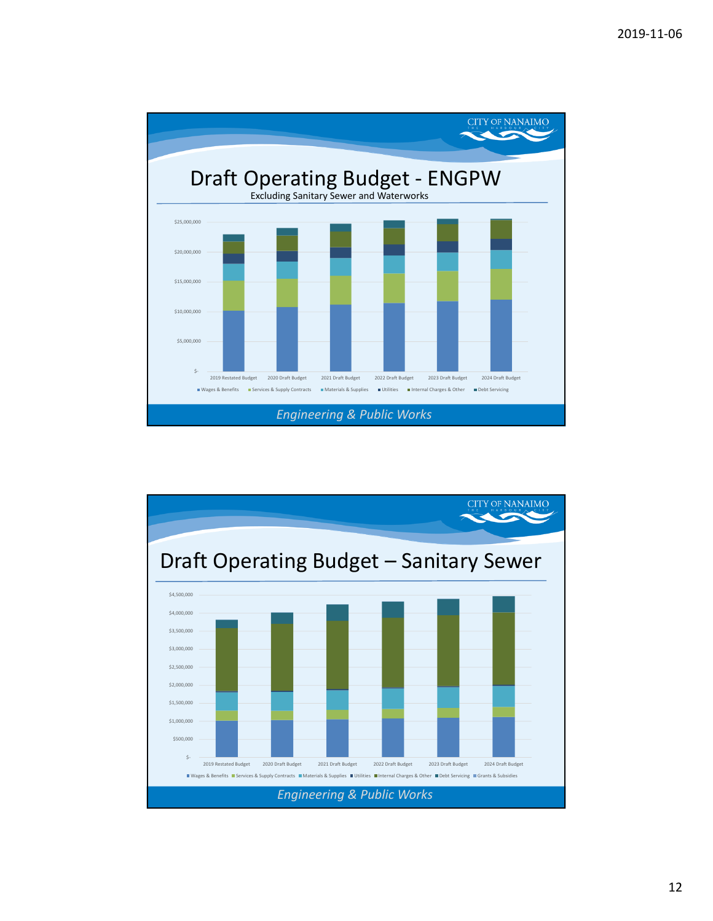

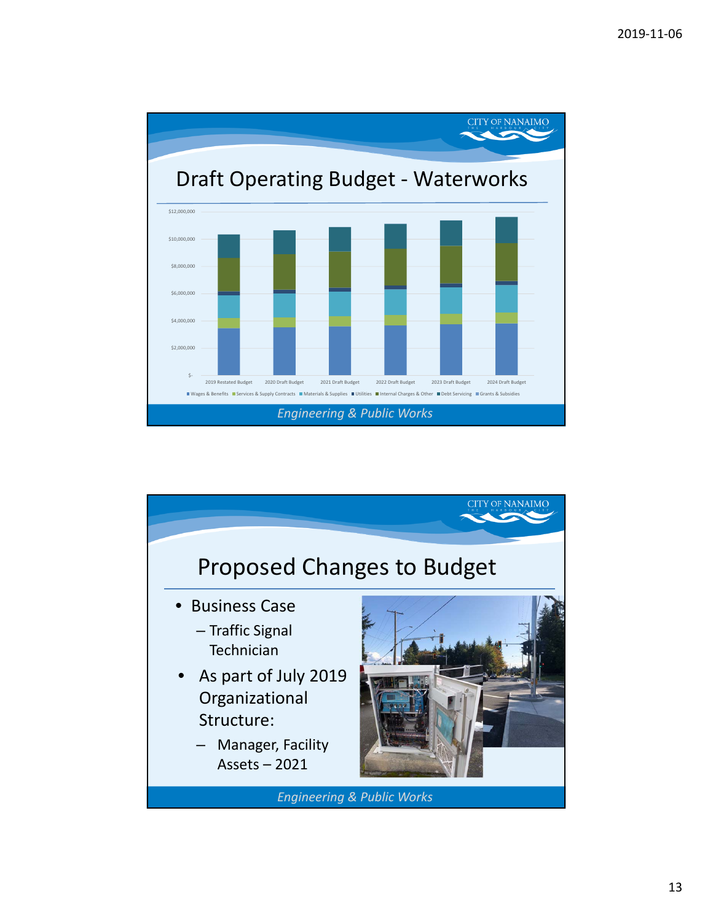